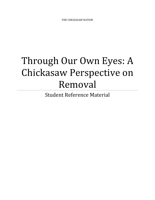## Through Our Own Eyes: A Chickasaw Perspective on Removal

Student Reference Material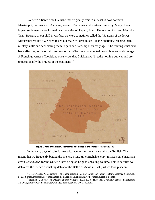We were a fierce, war-like tribe that originally resided in what is now northern Mississippi, northwestern Alabama, western Tennessee and western Kentucky. Many of our largest settlements were located near the cities of Tupelo, Miss.; Huntsville, Ala.; and Memphis, Tenn. Because of our skill in warfare, we were sometimes called the "Spartans of the lower Mississippi Valley." We even raised our male children much like the Spartans, teaching them military skills and acclimating them to pain and hardship at an early age.<sup>1</sup> The training must have been effective, as historical observers of our tribe often commented on our bravery and courage. A French governor of Louisiana once wrote that Chickasaws "breathe nothing but war and are unquestionably the bravest of the continent."<sup>2</sup>



**Figure 1: Map of Chickasaw Homelands as outlined in the Treaty of Hopewell 1786**

In the early days of colonial America, we formed an alliance with the English. This meant that we frequently battled the French, a long-time English enemy. In fact, some historians credit Chickasaws for the United States being an English-speaking country. This is because we delivered the French a crushing defeat at the Battle of Ackia in 1736, which took place in

<sup>&</sup>lt;sup>1</sup> Greg O'Brien, "Chickasaws: The Unconquerable People," American Indian History, accessed September 5, 2013, http://mshistorynow.mdah.state.ms.us/articles/8/chickasaws-the-unconquerable-people.

 $2^{2}$  Stephen R. Cook, "The Decades and the Villages: 1720-1730," Historical Overview, accessed September 12, 2013, http://www.thechickasawvillages.com/decades1720\_1730.html.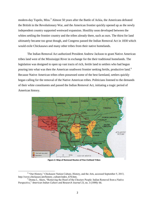modern-day Tupelo, Miss.<sup>3</sup> Almost 50 years after the Battle of Ackia, the Americans defeated the British in the Revolutionary War, and the American frontier quickly opened up as the newly independent country supported westward expansion. Hostility soon developed between the whites settling the frontier country and the tribes already there, such as ours. The thirst for land ultimately became too great though, and Congress passed the Indian Removal Act in 1830 which would exile Chickasaws and many other tribes from their native homelands.

The Indian Removal Act authorized President Andrew Jackson to grant Native American tribes land west of the Mississippi River in exchange for the their traditional homelands. The legislation was designed to open up vast tracts of rich, fertile land to settlers who had begun pouring into what was then the American southwest frontier seeking fertile, productive land.<sup>4</sup> Because Native American tribes often possessed some of the best farmland, settlers quickly began calling for the removal of the Native American tribes. Politicians listened to the demands of their white constituents and passed the Indian Removal Act, initiating a tragic period of American history.



**Figure 2: Map of Removal Routes of Five Civilized Tribes**

 $3$  "Our History," Chickasaw Nation Culture, History, and the Arts, accessed September 5, 2013, http://www.chickasaw.net/history\_culture/index\_670.htm.

<sup>4</sup> Donna L. Akers, "Removing the Heart of the Choctaw People: Indian Removal from a Native Perspective," *American Indian Culture and Research Journal* 23, no. 3 (1999): 66.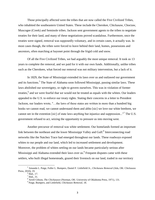Those principally affected were the tribes that are now called the Five Civilized Tribes, who inhabited the southeastern United States. These include the Cherokee, Chickasaw, Choctaw, Muscogee (Creek) and Seminole tribes. Jackson sent government agents to the tribes to negotiate treaties for their land, and many of these negotiations proved scandalous. Furthermore, once the treaties were signed, removal was supposedly voluntary, and in certain cases, it actually was. In most cases though, the tribes were forced to leave behind their land, homes, possessions and ancestors, often marching at bayonet point through the frigid cold and snow.

Of all the Five Civilized Tribes, we had arguably the most unique removal. It took us 13 years to complete the removal, and we paid for it with our own funds. Additionally, unlike tribes such as the Cherokees, what forced our removal was not military intervention, but a lack of it.

In 1829, the State of Mississippi extended its laws over us and outlawed our government and its functions.<sup>5</sup> The State of Alabama soon followed Mississippi, passing similar laws. These laws abolished our sovereignty, or right to govern ourselves. This was in violation of former treaties,<sup>6</sup> and we were fearful that we would not be treated as equals with the whites. Our leaders appealed to the U.S. to enforce our treaty rights. Stating their concerns in a letter to President Jackson, our leaders wrote, "…the laws of these states are written in more than a hundred big books we cannot read, we cannot understand them and altho [sic] we love our white brethren, we cannot see in the extention [*sic*] of state laws anything but injustice and suppression..."<sup>7</sup> The U.S. government refused to act, seizing the opportunity to pressure us into moving west.

Another precursor of removal was white settlement. Our homelands formed an important link between the northeast and the lower Mississippi Valley and Gulf.<sup>8</sup> Interconnecting road networks like the Natchez Trace had emerged throughout our lands. These roadways exposed whites to our people and our land, which led to increased settlement and development. Moreover, the problem of whites settling on our lands became particularly serious after Mississippi and Alabama extended their laws over us.<sup>9</sup> Frequent disputes came with these settlers, who built illegal homesteads, grazed their livestock on our land, traded in our territory

l

<sup>5</sup> Amanda L. Paige, Fuller L. Bumpers, Daniel F. Littlefield Jr., *Chickasaw Removal* (Ada, OK: Chickasaw Press, 2010), 19.

 $<sup>6</sup>$  Ibid., 17.</sup>

 $<sup>7</sup>$  Ibid., 31.</sup>

<sup>8</sup> Arrell Gibson, *The Chickasaws* (Norman, OK: University of Oklahoma Press, 1971), 131.

<sup>9</sup> Paige, Bumpers, and Littlefield, *Chickasaw Removal*, 18.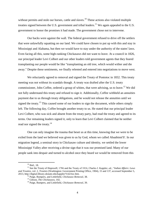without permits and stole our horses, cattle and slaves.<sup>10</sup> These actions also violated multiple treaties signed between the U.S. government and tribal leaders.<sup>11</sup> We again appealed to the U.S. government to honor the promises it had made. The government chose not to intervene.

Our backs were against the wall. The federal government refused to drive off the settlers that were unlawfully squatting on our land. We could have chosen to put up with this and stay in Mississippi and Alabama, but then we would have to stay under the authority of the states' laws. Even facing all this, some high-ranking Chickasaws did not want to leave. At a council in 1826, our principal leader Levi Colbert and our other leaders told government agents that they feared transplanting our people would be like "transplanting an old tree, which would wither and die away." Despite these sentiments, we finally relented and entered into negotiations to move west.

We reluctantly agreed to removal and signed the Treaty of Pontotoc in 1832. This treaty meeting was not without its scandals though. A treaty was drafted after the U.S. treaty commissioner, John Coffee, ordered a group of whites, that were advising, us to leave.<sup>12</sup> We did not fully understand this treaty and refused to sign it. Additionally, Coffee withheld an annuities payment due to us through treaty obligations, and he would not release the annuities until we signed the treaty.<sup>13</sup> This caused some of our leaders to sign the document, while others simply left. The following day, Coffee brought another treaty to us. He stated that our principal leader Levi Colbert, who was sick and absent from the treaty party, had read the treaty and agreed to its terms. Our remaining leaders signed it, only to learn that Levi Colbert claimed that he neither read nor signed the treaty. $14$ 

One can only imagine the trauma that beset us at this time, knowing that we were to be exiled from the land we believed was given to us by God, whom we called Abaabinni'li'. In our migration legend, a seminal story in Chickasaw culture and identity, we settled the lower Mississippi Valley after receiving a divine sign that it was our promised land. Many of our people sank into despair and turned to alcohol once they heard we would be removed from this

<sup>10</sup> Ibid., 18.

<sup>&</sup>lt;sup>11</sup> See the Treaty of Hopewell, 1786 and the Treaty of 1816, Charles J. Kappler, ed., "*Indian Affairs: Laws and Treaties*, vol. 2*, Treaties* (Washington: Government Printing Office, 1904), 15 and 137, accessed September 5, 2013, http://digital.library.okstate.edu/kappler/Vol2/toc.htm.

<sup>12</sup> Paige, Bumpers, and Littlefield, *Chickasaw Removal*, 38.

<sup>13</sup> Gibson, *The Chickasaws*, 102.

<sup>14</sup> Paige, Bumpers, and Littlefield, *Chickasaw Removal*, 39.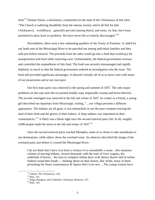land.<sup>15</sup> Thomas Stuart, a missionary, commented on the state of the Chickasaws at that time: "The Church is suffering dreadfully from the intense anxiety which all feel for [the Chickasaws]…worldliness…generally prevails [among them], and some, we fear, have been permitted to draw back to perdition. We have never felt so entirely discouraged."<sup>16</sup>

Nevertheless, there were a few redeeming qualities of the Treaty of Pontotoc. It called for our lands east of the Mississippi River to be parceled out among individual families and then sold just before removal. The proceeds from the sales would go into a fund that would pay for transportation and food while removing west. Unfortunately, the federal government oversaw and controlled the expenditures of this fund. The fund was severely mismanaged and rapidly depleted, so much so that the federal government ordered an investigation into the issue. The fund still provided significant advantages. It allowed virtually all of us to move west with many of our possessions and at our own pace.

Our first main party was removed in the spring and summer of 1837. The only major problems on this trip were the occasional muddy road, impassable swamp and horse-thievery. The second contingent was removed in the fall and winter of 1837. In a letter to a friend, a young girl described our departure from Mississippi, writing, "…our village presents a different appearance. The Indians are all gone; it was melancholy to see the poor creatures leaving the land of their birth and the graves of their fathers. A deep sadness was imprinted on their countenances."<sup>17</sup> It likely was a bleak sight once the second removal party left. In all, roughly 4,000 people made the move in the fall and winter of  $1837<sup>18</sup>$ 

Once the second removal party reached Memphis, some of us chose to take steamboats to our destinations, while others chose the overland route. An observer described the image of the overland party just before it crossed the Mississippi River:

I do not think that I have ever been a witness of so remarkable a scene…this immense column of moving Indians, several thousand, with the train of Govt wagons, the multitude of horses…the men in complete Indian dress with showy shawls tied in turban fashion round their heads — dashing about on their horses, like Arabs, many of them presenting the finest countenances & figures that I ever saw….The young women have

<sup>15</sup> Gibson, *The Chickasaws*, 144.

<sup>16</sup> Ibid., 141.

<sup>17</sup> Paige, Bumpers, and Littlefield, *Chickasaw Removal*, 147.

<sup>18</sup> Ibid*.*, 120.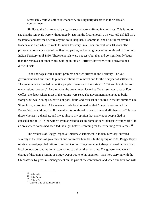remarkably mild & soft countenances & are singularly decorous in their dress  $\&$ comportment.<sup>19</sup>

Similar to the first removal party, the second party suffered few mishaps. This is not to say that the removals were without tragedy. During the first removal, a 14-year-old girl fell off a steamboat and drowned before anyone could help her. Tishominko, one of our most revered leaders, also died while en route to Indian Territory. In all, our removal took 13 years. The primary removal consisted of the first two parties, and small groups of us continued to filter into Indian Territory until 1850. These removals were not easy, but they did go significantly better than the removals of other tribes. Settling in Indian Territory, however, would prove to be a difficult task.

Food shortages were a major problem once we arrived in the Territory. The U.S. government used our funds to purchase rations for removal and for the first year of settlement. The government expected our entire people to remove in the spring of 1837 and bought far too many rations too soon.<sup>20</sup> Furthermore, the government lacked sufficient storage space at Fort Coffee, the depot where most of the rations were sent. The government attempted to build storage, but while doing so, barrels of pork, flour, and corn sat and soured in the hot summer sun. Slone Love, a prominent Chickasaw mixed-blood, remarked that "the pork was so bad that Doctor Walker told me, that if the emigrants continued to use it, it would kill them all off. It gave those who ate it a diarrhea, and it was always my opinion that many poor people died in consequence of it."<sup>21</sup> One witness even attested to seeing some of our Chickasaw women flock to an area where horses had been fed the night before, searching for the remaining corn kernels.<sup>22</sup>

The residents of Boggy Depot, a Chickasaw settlement in Indian Territory, suffered severely at the hands of government and contractor blunders. In the spring of 1838, Boggy Depot received already-spoiled rations from Fort Coffee. The government also purchased rations from local contractors, but the contractors failed to deliver them on time. The government agent in charge of disbursing rations at Boggy Depot wrote to his superior, "I am here starving with the Chickasaws, by gross mismanagement on the part of the contractors; and when our situation will

<sup>19</sup> Ibid*.,* 125.

 $^{20}$  Ibid., 72-73.

 $^{21}$  Ibid., 174.

<sup>22</sup> Gibson, *The Chickasaws*, 194.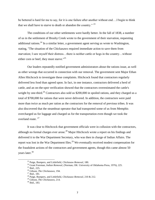be bettered is hard for me to say, for it is one failure after another without end….I begin to think that we shall have to starve to death or abandon the country."  $23$ 

The conditions of our other settlements were hardly better. In the fall of 1838, a number of us in the settlement of Brushy Creek wrote to the government of their starvation, requesting additional rations.<sup>24</sup> In a similar letter, a government agent serving us wrote to Washington, stating, "The situation of the Chickasaws required immediate action to save them from starvation; I saw myself their distress…there is neither cattle or hogs in the country…without either corn or beef, they must starve."<sup>25</sup>

Our leaders repeatedly notified government administrators about the rations issue, as well as other wrongs that occurred in connection with our removal. The government sent Major Ethan Allen Hitchcock to investigate these complaints. Hitchcock found that contractors regularly delivered less food than agreed upon. In fact, in one instance, contractors delivered a herd of cattle, and an on-the-spot verification showed that the contractors overestimated the cattle's weight by one-third.<sup>26</sup> Contractors also sold us \$200,000 in spoiled rations, and they charged us a total of \$700,000 for rations that were never delivered. In addition, the contractors were paid more than twice as much per ration as the contractors for the removal of previous tribes. It was also discovered that the steamboat operator that had transported some of us from Memphis overcharged us for luggage and charged us for the transportation even though we took the overland route.<sup>27</sup>

It was clear to Hitchcock that government officials were in collusion with the contractors, although no formal charges ever arose.<sup>28</sup> Major Hitchcock wrote a report on his findings and delivered it to the War Department Secretary, who was then in charge of Indian Affairs. The report was lost in the War Department files.<sup>29</sup> We eventually received modest compensation for the fraudulent actions of the contractors and government agents, though this came almost 50 years later.<sup>30</sup>

 $\overline{a}$ 

<sup>23</sup> Paige, Bumpers, and Littlefield, *Chickasaw Removal*, 180.

<sup>24</sup> Grant Foreman, *Indian Removal*, (Norman, OK: University of Oklahoma Press, 1976), 225.

<sup>25</sup> Ibid., 225.

<sup>26</sup> Gibson, *The Chickasaws*, 194.

<sup>27</sup> Ibid., 181.

<sup>28</sup> Paige, Bumpers, and Littlefield, *Chickasaw Removal*, 210 & 212.

<sup>29</sup> Gibson, *The Chickasaws*, 214.

<sup>30</sup> Ibid., 183.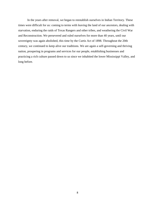In the years after removal, we began to reestablish ourselves in Indian Territory. These times were difficult for us: coming to terms with leaving the land of our ancestors, dealing with starvation, enduring the raids of Texas Rangers and other tribes, and weathering the Civil War and Reconstruction. We persevered and ruled ourselves for more than 40 years, until our sovereignty was again abolished, this time by the Curtis Act of 1898. Throughout the 20th century, we continued to keep alive our traditions. We are again a self-governing and thriving nation, prospering in programs and services for our people, establishing businesses and practicing a rich culture passed down to us since we inhabited the lower Mississippi Valley, and long before.